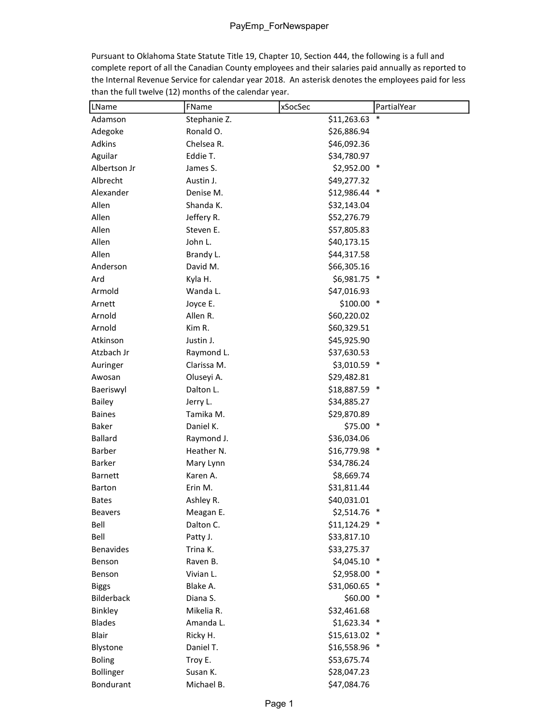Pursuant to Oklahoma State Statute Title 19, Chapter 10, Section 444, the following is a full and complete report of all the Canadian County employees and their salaries paid annually as reported to the Internal Revenue Service for calendar year 2018. An asterisk denotes the employees paid for less than the full twelve (12) months of the calendar year.

| LName            | FName        | xSocSec        | PartialYear |
|------------------|--------------|----------------|-------------|
| Adamson          | Stephanie Z. | \$11,263.63    |             |
| Adegoke          | Ronald O.    | \$26,886.94    |             |
| Adkins           | Chelsea R.   | \$46,092.36    |             |
| Aguilar          | Eddie T.     | \$34,780.97    |             |
| Albertson Jr     | James S.     | \$2,952.00 *   |             |
| Albrecht         | Austin J.    | \$49,277.32    |             |
| Alexander        | Denise M.    | \$12,986.44 *  |             |
| Allen            | Shanda K.    | \$32,143.04    |             |
| Allen            | Jeffery R.   | \$52,276.79    |             |
| Allen            | Steven E.    | \$57,805.83    |             |
| Allen            | John L.      | \$40,173.15    |             |
| Allen            | Brandy L.    | \$44,317.58    |             |
| Anderson         | David M.     | \$66,305.16    |             |
| Ard              | Kyla H.      | \$6,981.75 *   |             |
| Armold           | Wanda L.     | \$47,016.93    |             |
| Arnett           | Joyce E.     | $$100.00$ *    |             |
| Arnold           | Allen R.     | \$60,220.02    |             |
| Arnold           | Kim R.       | \$60,329.51    |             |
| Atkinson         | Justin J.    | \$45,925.90    |             |
| Atzbach Jr       | Raymond L.   | \$37,630.53    |             |
| Auringer         | Clarissa M.  | \$3,010.59 *   |             |
| Awosan           | Oluseyi A.   | \$29,482.81    |             |
| Baeriswyl        | Dalton L.    | \$18,887.59 *  |             |
| <b>Bailey</b>    | Jerry L.     | \$34,885.27    |             |
| <b>Baines</b>    | Tamika M.    | \$29,870.89    |             |
| <b>Baker</b>     | Daniel K.    | $$75.00$ *     |             |
| <b>Ballard</b>   | Raymond J.   | \$36,034.06    |             |
| Barber           | Heather N.   | $$16,779.98$ * |             |
| <b>Barker</b>    | Mary Lynn    | \$34,786.24    |             |
| <b>Barnett</b>   | Karen A.     | \$8,669.74     |             |
| Barton           | Erin M.      | \$31,811.44    |             |
| <b>Bates</b>     | Ashley R.    | \$40,031.01    |             |
| Beavers          | Meagan E.    | \$2,514.76 *   |             |
| Bell             | Dalton C.    | $$11,124.29$ * |             |
| Bell             | Patty J.     | \$33,817.10    |             |
| <b>Benavides</b> | Trina K.     | \$33,275.37    |             |
| Benson           | Raven B.     | $$4,045.10$ *  |             |
| Benson           | Vivian L.    | \$2,958.00     |             |
| <b>Biggs</b>     | Blake A.     | \$31,060.65    | ∗           |
| Bilderback       | Diana S.     | \$60.00        | ∗           |
| Binkley          | Mikelia R.   | \$32,461.68    |             |
| <b>Blades</b>    | Amanda L.    | \$1,623.34     | $\ast$      |
| Blair            | Ricky H.     | \$15,613.02    |             |
| Blystone         | Daniel T.    | \$16,558.96    | $\ast$      |
| <b>Boling</b>    | Troy E.      | \$53,675.74    |             |
| Bollinger        | Susan K.     | \$28,047.23    |             |
| Bondurant        | Michael B.   | \$47,084.76    |             |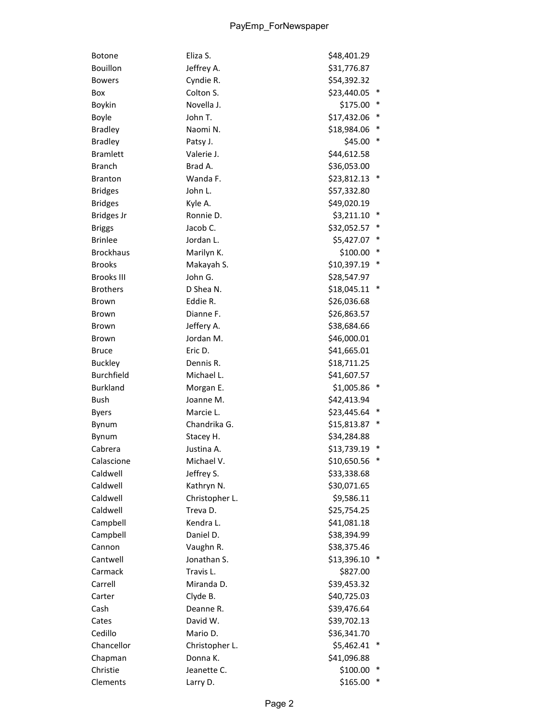| Botone            | Eliza S.       | \$48,401.29 |   |
|-------------------|----------------|-------------|---|
| Bouillon          | Jeffrey A.     | \$31,776.87 |   |
| <b>Bowers</b>     | Cyndie R.      | \$54,392.32 |   |
| Box               | Colton S.      | \$23,440.05 |   |
| Boykin            | Novella J.     | \$175.00    |   |
| Boyle             | John T.        | \$17,432.06 |   |
| <b>Bradley</b>    | Naomi N.       | \$18,984.06 |   |
| <b>Bradley</b>    | Patsy J.       | \$45.00     |   |
| <b>Bramlett</b>   | Valerie J.     | \$44,612.58 |   |
| <b>Branch</b>     | Brad A.        | \$36,053.00 |   |
| <b>Branton</b>    | Wanda F.       | \$23,812.13 |   |
| <b>Bridges</b>    | John L.        | \$57,332.80 |   |
| <b>Bridges</b>    | Kyle A.        | \$49,020.19 |   |
| <b>Bridges Jr</b> | Ronnie D.      | \$3,211.10  |   |
| <b>Briggs</b>     | Jacob C.       | \$32,052.57 |   |
| <b>Brinlee</b>    | Jordan L.      | \$5,427.07  |   |
| <b>Brockhaus</b>  | Marilyn K.     | \$100.00    |   |
| <b>Brooks</b>     | Makayah S.     | \$10,397.19 | ∗ |
| <b>Brooks III</b> | John G.        | \$28,547.97 |   |
| <b>Brothers</b>   | D Shea N.      | \$18,045.11 |   |
| Brown             | Eddie R.       | \$26,036.68 |   |
| Brown             | Dianne F.      | \$26,863.57 |   |
| Brown             | Jeffery A.     | \$38,684.66 |   |
| Brown             | Jordan M.      | \$46,000.01 |   |
| <b>Bruce</b>      | Eric D.        | \$41,665.01 |   |
| <b>Buckley</b>    | Dennis R.      | \$18,711.25 |   |
| <b>Burchfield</b> | Michael L.     | \$41,607.57 |   |
| <b>Burkland</b>   | Morgan E.      | \$1,005.86  |   |
| Bush              | Joanne M.      | \$42,413.94 |   |
| <b>Byers</b>      | Marcie L.      | \$23,445.64 |   |
| Bynum             | Chandrika G.   | \$15,813.87 |   |
| Bynum             | Stacey H.      | \$34,284.88 |   |
| Cabrera           | Justina A.     | \$13,739.19 |   |
| Calascione        | Michael V      | \$10,650.56 |   |
| Caldwell          | Jeffrey S.     | \$33,338.68 |   |
| Caldwell          | Kathryn N.     | \$30,071.65 |   |
| Caldwell          | Christopher L. | \$9,586.11  |   |
| Caldwell          | Treva D.       | \$25,754.25 |   |
| Campbell          | Kendra L.      | \$41,081.18 |   |
| Campbell          | Daniel D.      | \$38,394.99 |   |
| Cannon            | Vaughn R.      | \$38,375.46 |   |
| Cantwell          | Jonathan S.    | \$13,396.10 |   |
| Carmack           | Travis L.      | \$827.00    |   |
| Carrell           | Miranda D.     | \$39,453.32 |   |
| Carter            | Clyde B.       | \$40,725.03 |   |
| Cash              | Deanne R.      | \$39,476.64 |   |
| Cates             | David W.       | \$39,702.13 |   |
| Cedillo           | Mario D.       | \$36,341.70 |   |
| Chancellor        | Christopher L. | \$5,462.41  |   |
| Chapman           | Donna K.       | \$41,096.88 |   |
| Christie          | Jeanette C.    | \$100.00    |   |
| Clements          | Larry D.       | \$165.00    |   |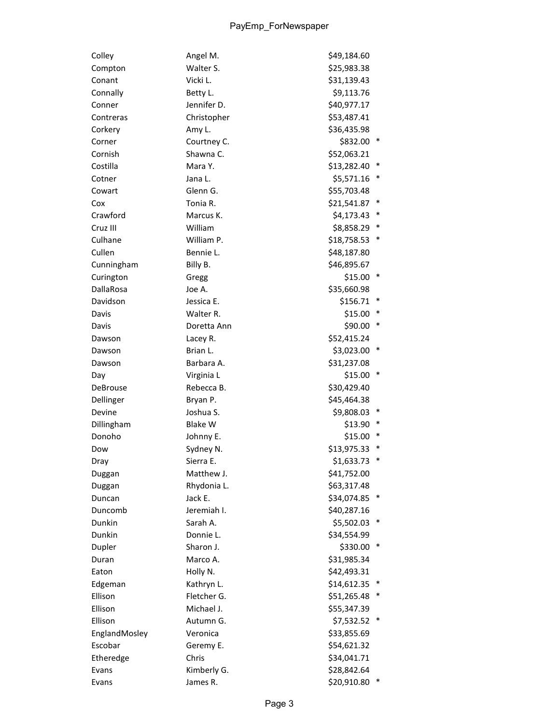| Colley        | Angel M.       | \$49,184.60 |        |
|---------------|----------------|-------------|--------|
| Compton       | Walter S.      | \$25,983.38 |        |
| Conant        | Vicki L.       | \$31,139.43 |        |
| Connally      | Betty L.       | \$9,113.76  |        |
| Conner        | Jennifer D.    | \$40,977.17 |        |
| Contreras     | Christopher    | \$53,487.41 |        |
| Corkery       | Amy L.         | \$36,435.98 |        |
| Corner        | Courtney C.    | \$832.00    |        |
| Cornish       | Shawna C.      | \$52,063.21 |        |
| Costilla      | Mara Y.        | \$13,282.40 |        |
| Cotner        | Jana L.        | \$5,571.16  | *      |
| Cowart        | Glenn G.       | \$55,703.48 |        |
| Cox           | Tonia R.       | \$21,541.87 |        |
| Crawford      | Marcus K.      | \$4,173.43  |        |
| Cruz III      | William        | \$8,858.29  |        |
| Culhane       | William P.     | \$18,758.53 |        |
| Cullen        | Bennie L.      | \$48,187.80 |        |
| Cunningham    | Billy B.       | \$46,895.67 |        |
| Curington     | Gregg          | \$15.00     | $\ast$ |
| DallaRosa     | Joe A.         | \$35,660.98 |        |
| Davidson      | Jessica E.     | \$156.71    |        |
| Davis         | Walter R.      | \$15.00     |        |
| Davis         | Doretta Ann    | \$90.00     | ∗      |
| Dawson        | Lacey R.       | \$52,415.24 |        |
| Dawson        | Brian L.       | \$3,023.00  | $\ast$ |
| Dawson        | Barbara A.     | \$31,237.08 |        |
| Day           | Virginia L     | \$15.00     | ∗      |
| DeBrouse      | Rebecca B.     | \$30,429.40 |        |
| Dellinger     | Bryan P.       | \$45,464.38 |        |
| Devine        | Joshua S.      | \$9,808.03  |        |
| Dillingham    | <b>Blake W</b> | \$13.90     |        |
| Donoho        | Johnny E.      | \$15.00     |        |
| Dow           | Sydney N.      | \$13,975.33 |        |
| Dray          | Sierra E.      | \$1,633.73  | *      |
| Duggan        | Matthew J.     | \$41,752.00 |        |
| Duggan        | Rhydonia L.    | \$63,317.48 |        |
| Duncan        | Jack E.        | \$34,074.85 |        |
| Duncomb       | Jeremiah I.    | \$40,287.16 |        |
| Dunkin        | Sarah A.       | \$5,502.03  |        |
| Dunkin        | Donnie L.      | \$34,554.99 |        |
| Dupler        | Sharon J.      | \$330.00    |        |
| Duran         | Marco A.       | \$31,985.34 |        |
| Eaton         | Holly N.       | \$42,493.31 |        |
| Edgeman       | Kathryn L.     | \$14,612.35 |        |
| Ellison       | Fletcher G.    | \$51,265.48 |        |
| Ellison       | Michael J.     | \$55,347.39 |        |
| Ellison       | Autumn G.      | \$7,532.52  | ∗      |
| EnglandMosley | Veronica       | \$33,855.69 |        |
| Escobar       | Geremy E.      | \$54,621.32 |        |
| Etheredge     | Chris          | \$34,041.71 |        |
| Evans         | Kimberly G.    | \$28,842.64 |        |
| Evans         | James R.       | \$20,910.80 |        |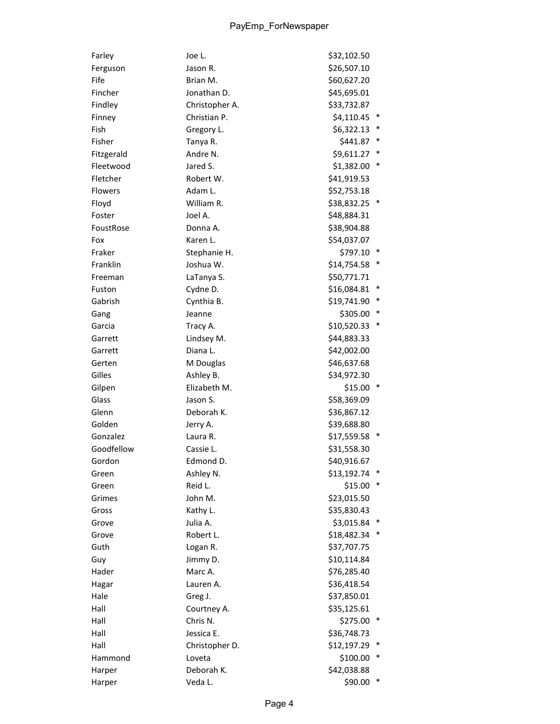| Farley         | Joe L.         | \$32,102.50 |   |
|----------------|----------------|-------------|---|
| Ferguson       | Jason R.       | \$26,507.10 |   |
| Fife           | Brian M.       | \$60,627.20 |   |
| Fincher        | Jonathan D.    | \$45,695.01 |   |
| Findley        | Christopher A. | \$33,732.87 |   |
| Finney         | Christian P.   | \$4,110.45  |   |
| Fish           | Gregory L.     | \$6,322.13  |   |
| Fisher         | Tanya R.       | \$441.87    |   |
| Fitzgerald     | Andre N.       | \$9,611.27  |   |
| Fleetwood      | Jared S.       | \$1,382.00  | * |
| Fletcher       | Robert W.      | \$41,919.53 |   |
| <b>Flowers</b> | Adam L.        | \$52,753.18 |   |
| Floyd          | William R.     | \$38,832.25 |   |
| Foster         | Joel A.        | \$48,884.31 |   |
| FoustRose      | Donna A.       | \$38,904.88 |   |
| Fox            | Karen L.       | \$54,037.07 |   |
| Fraker         | Stephanie H.   | \$797.10    |   |
| Franklin       | Joshua W.      | \$14,754.58 |   |
| Freeman        | LaTanya S.     | \$50,771.71 |   |
| Fuston         | Cydne D.       | \$16,084.81 |   |
| Gabrish        | Cynthia B.     | \$19,741.90 |   |
| Gang           | Jeanne         | \$305.00    |   |
| Garcia         | Tracy A.       | \$10,520.33 |   |
| Garrett        | Lindsey M.     | \$44,883.33 |   |
| Garrett        | Diana L.       | \$42,002.00 |   |
| Gerten         | M Douglas      | \$46,637.68 |   |
| Gilles         | Ashley B.      | \$34,972.30 |   |
| Gilpen         | Elizabeth M.   | \$15.00     |   |
| Glass          | Jason S.       | \$58,369.09 |   |
| Glenn          | Deborah K.     | \$36,867.12 |   |
| Golden         | Jerry A.       | \$39,688.80 |   |
| Gonzalez       | Laura R.       | \$17,559.58 |   |
| Goodfellow     | Cassie L.      | \$31,558.30 |   |
| Gordon         | Edmond D.      | \$40,916.67 |   |
| Green          | Ashley N.      | \$13,192.74 |   |
| Green          | Reid L.        | \$15.00     |   |
| Grimes         | John M.        | \$23,015.50 |   |
| Gross          | Kathy L.       | \$35,830.43 |   |
| Grove          | Julia A.       | \$3,015.84  |   |
| Grove          | Robert L.      | \$18,482.34 |   |
| Guth           | Logan R.       | \$37,707.75 |   |
| Guy            | Jimmy D.       | \$10,114.84 |   |
| Hader          | Marc A.        | \$76,285.40 |   |
| Hagar          | Lauren A.      | \$36,418.54 |   |
| Hale           | Greg J.        | \$37,850.01 |   |
| Hall           | Courtney A.    | \$35,125.61 |   |
| Hall           | Chris N.       | \$275.00    | ∗ |
| Hall           | Jessica E.     | \$36,748.73 |   |
| Hall           | Christopher D. | \$12,197.29 |   |
| Hammond        | Loveta         | \$100.00    |   |
| Harper         | Deborah K.     | \$42,038.88 |   |
| Harper         | Veda L.        | \$90.00     |   |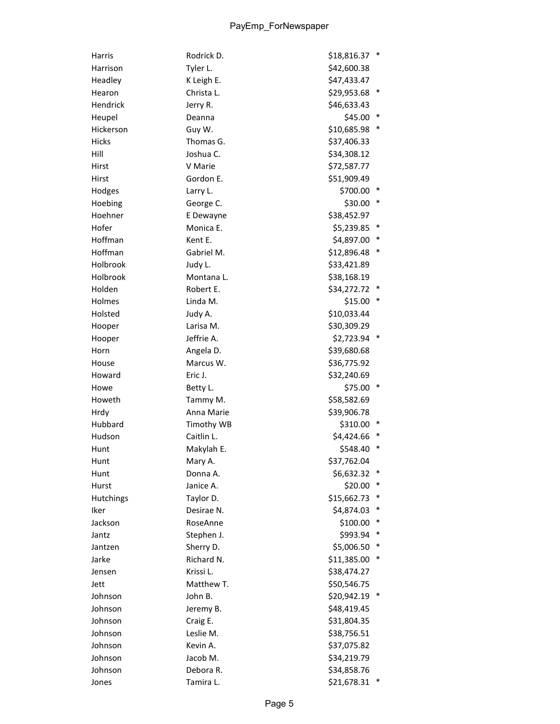| Harris       | Rodrick D. | $\ast$<br>\$18,816.37 |
|--------------|------------|-----------------------|
| Harrison     | Tyler L.   | \$42,600.38           |
| Headley      | K Leigh E. | \$47,433.47           |
| Hearon       | Christa L. | \$29,953.68           |
| Hendrick     | Jerry R.   | \$46,633.43           |
| Heupel       | Deanna     | $\ast$<br>\$45.00     |
| Hickerson    | Guy W.     | \$10,685.98           |
| <b>Hicks</b> | Thomas G.  | \$37,406.33           |
| Hill         | Joshua C.  | \$34,308.12           |
| Hirst        | V Marie    | \$72,587.77           |
| Hirst        | Gordon E.  | \$51,909.49           |
| Hodges       | Larry L.   | \$700.00              |
| Hoebing      | George C.  | \$30.00<br>∗          |
| Hoehner      | E Dewayne  | \$38,452.97           |
| Hofer        | Monica E.  | \$5,239.85<br>∗       |
| Hoffman      | Kent E.    | \$4,897.00            |
| Hoffman      | Gabriel M. | $\ast$<br>\$12,896.48 |
| Holbrook     | Judy L.    | \$33,421.89           |
| Holbrook     | Montana L. | \$38,168.19           |
| Holden       | Robert E.  | \$34,272.72           |
| Holmes       | Linda M.   | \$15.00               |
| Holsted      | Judy A.    | \$10,033.44           |
| Hooper       | Larisa M.  | \$30,309.29           |
| Hooper       | Jeffrie A. | \$2,723.94            |
| Horn         | Angela D.  | \$39,680.68           |
| House        | Marcus W.  | \$36,775.92           |
| Howard       | Eric J.    | \$32,240.69           |
| Howe         | Betty L.   | \$75.00               |
| Howeth       | Tammy M.   | \$58,582.69           |
| Hrdy         | Anna Marie | \$39,906.78           |
| Hubbard      | Timothy WB | \$310.00<br>$\ast$    |
| Hudson       | Caitlin L. | \$4,424.66            |
| Hunt         | Makylah E. | ∗<br>\$548.40         |
| Hunt         | Mary A.    | \$37,762.04           |
| Hunt         | Donna A.   | $\ast$<br>\$6,632.32  |
| Hurst        | Janice A.  | \$20.00               |
| Hutchings    | Taylor D.  | \$15,662.73<br>∗      |
| Iker         | Desirae N. | \$4,874.03<br>∗       |
| Jackson      | RoseAnne   | \$100.00<br>*         |
| Jantz        | Stephen J. | ∗<br>\$993.94         |
| Jantzen      | Sherry D.  | \$5,006.50            |
| Jarke        | Richard N. | ∗<br>\$11,385.00      |
| Jensen       | Krissi L.  | \$38,474.27           |
| Jett         | Matthew T. | \$50,546.75           |
| Johnson      | John B.    | \$20,942.19           |
| Johnson      | Jeremy B.  | \$48,419.45           |
| Johnson      | Craig E.   | \$31,804.35           |
| Johnson      | Leslie M.  | \$38,756.51           |
| Johnson      | Kevin A.   | \$37,075.82           |
| Johnson      | Jacob M.   | \$34,219.79           |
| Johnson      | Debora R.  | \$34,858.76           |
| Jones        | Tamira L.  | \$21,678.31<br>$\ast$ |
|              |            |                       |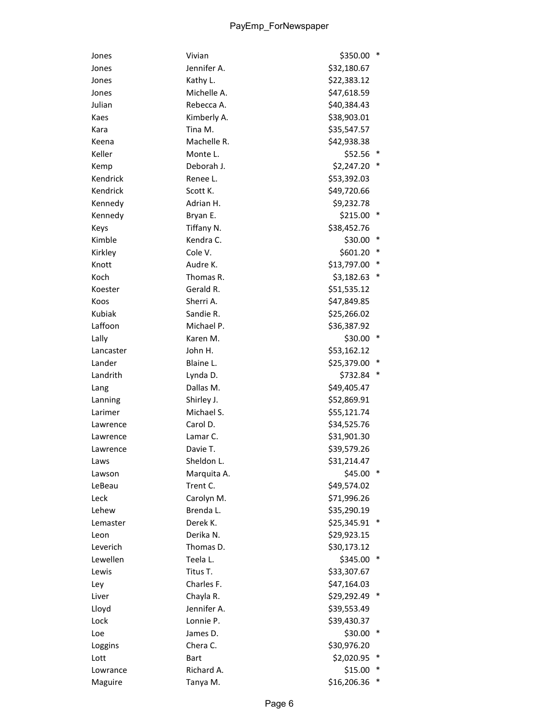| Jones     | Vivian      | \$350.00<br>*         |
|-----------|-------------|-----------------------|
| Jones     | Jennifer A. | \$32,180.67           |
| Jones     | Kathy L.    | \$22,383.12           |
| Jones     | Michelle A. | \$47,618.59           |
| Julian    | Rebecca A.  | \$40,384.43           |
| Kaes      | Kimberly A. | \$38,903.01           |
| Kara      | Tina M.     | \$35,547.57           |
| Keena     | Machelle R. | \$42,938.38           |
| Keller    | Monte L.    | \$52.56               |
| Kemp      | Deborah J.  | \$2,247.20<br>∗       |
| Kendrick  | Renee L.    | \$53,392.03           |
| Kendrick  | Scott K.    | \$49,720.66           |
| Kennedy   | Adrian H.   | \$9,232.78            |
| Kennedy   | Bryan E.    | $$215.00$ *           |
| Keys      | Tiffany N.  | \$38,452.76           |
| Kimble    | Kendra C.   | \$30.00<br>$\ast$     |
| Kirkley   | Cole V.     | \$601.20<br>∗         |
| Knott     | Audre K.    | \$13,797.00<br>$\ast$ |
| Koch      | Thomas R.   | \$3,182.63            |
| Koester   | Gerald R.   | \$51,535.12           |
| Koos      | Sherri A.   | \$47,849.85           |
| Kubiak    | Sandie R.   | \$25,266.02           |
| Laffoon   | Michael P.  | \$36,387.92           |
| Lally     | Karen M.    | \$30.00               |
| Lancaster | John H.     | \$53,162.12           |
| Lander    | Blaine L.   | \$25,379.00<br>∗      |
| Landrith  | Lynda D.    | \$732.84<br>∗         |
| Lang      | Dallas M.   | \$49,405.47           |
| Lanning   | Shirley J.  | \$52,869.91           |
| Larimer   | Michael S.  | \$55,121.74           |
| Lawrence  | Carol D.    | \$34,525.76           |
| Lawrence  | Lamar C.    | \$31,901.30           |
| Lawrence  | Davie T.    | \$39,579.26           |
| Laws      | Sheldon L.  | \$31,214.47           |
| Lawson    | Marquita A. | $$45.00$ *            |
| LeBeau    | Trent C.    | \$49,574.02           |
| Leck      | Carolyn M.  | \$71,996.26           |
| Lehew     | Brenda L.   | \$35,290.19           |
| Lemaster  | Derek K.    | \$25,345.91<br>$\ast$ |
| Leon      | Derika N.   | \$29,923.15           |
| Leverich  | Thomas D.   | \$30,173.12           |
| Lewellen  | Teela L.    | \$345.00              |
| Lewis     | Titus T.    | \$33,307.67           |
| Ley       | Charles F.  | \$47,164.03           |
| Liver     | Chayla R.   | \$29,292.49           |
| Lloyd     | Jennifer A. | \$39,553.49           |
| Lock      | Lonnie P.   | \$39,430.37           |
| Loe       | James D.    | \$30.00<br>∗          |
| Loggins   | Chera C.    | \$30,976.20           |
| Lott      | <b>Bart</b> | \$2,020.95            |
| Lowrance  | Richard A.  | \$15.00               |
| Maguire   | Tanya M.    | \$16,206.36           |
|           |             |                       |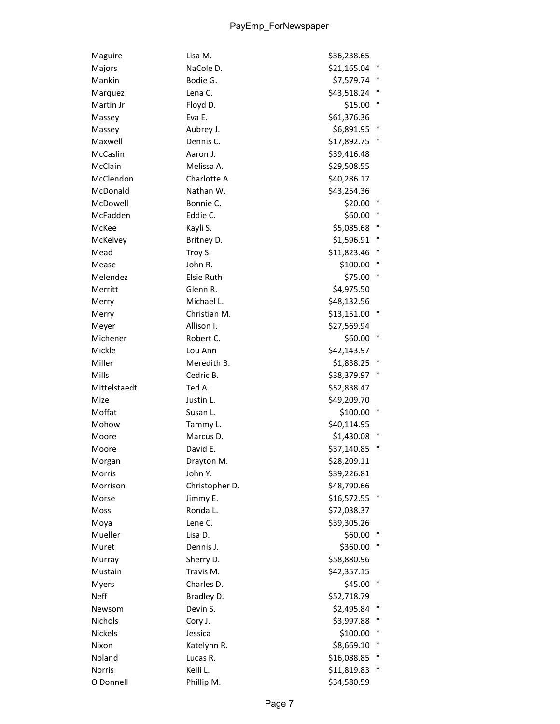| Maguire      | Lisa M.           | \$36,238.65 |        |
|--------------|-------------------|-------------|--------|
| Majors       | NaCole D.         | \$21,165.04 | ∗      |
| Mankin       | Bodie G.          | \$7,579.74  |        |
| Marquez      | Lena C.           | \$43,518.24 |        |
| Martin Jr    | Floyd D.          | \$15.00     | ∗      |
| Massey       | Eva E.            | \$61,376.36 |        |
| Massey       | Aubrey J.         | \$6,891.95  |        |
| Maxwell      | Dennis C.         | \$17,892.75 |        |
| McCaslin     | Aaron J.          | \$39,416.48 |        |
| McClain      | Melissa A.        | \$29,508.55 |        |
| McClendon    | Charlotte A.      | \$40,286.17 |        |
| McDonald     | Nathan W.         | \$43,254.36 |        |
| McDowell     | Bonnie C.         | \$20.00     |        |
| McFadden     | Eddie C.          | \$60.00     | ∗      |
| McKee        | Kayli S.          | \$5,085.68  | ∗      |
| McKelvey     | Britney D.        | \$1,596.91  | ∗      |
| Mead         | Troy S.           | \$11,823.46 |        |
| Mease        | John R.           | \$100.00    | *      |
| Melendez     | <b>Elsie Ruth</b> | \$75.00     | ∗      |
| Merritt      | Glenn R.          | \$4,975.50  |        |
| Merry        | Michael L.        | \$48,132.56 |        |
| Merry        | Christian M.      | \$13,151.00 |        |
| Meyer        | Allison I.        | \$27,569.94 |        |
| Michener     | Robert C.         | \$60.00     | ∗      |
| Mickle       | Lou Ann           | \$42,143.97 |        |
| Miller       | Meredith B.       | \$1,838.25  | ∗      |
| Mills        | Cedric B.         | \$38,379.97 |        |
| Mittelstaedt | Ted A.            | \$52,838.47 |        |
| Mize         | Justin L.         | \$49,209.70 |        |
| Moffat       | Susan L.          | \$100.00    | ∗      |
| Mohow        | Tammy L.          | \$40,114.95 |        |
| Moore        | Marcus D.         | \$1,430.08  |        |
| Moore        | David E.          | \$37,140.85 |        |
| Morgan       | Drayton M.        | \$28,209.11 |        |
| Morris       | John Y.           |             |        |
|              |                   | \$39,226.81 |        |
| Morrison     | Christopher D.    | \$48,790.66 |        |
| Morse        | Jimmy E.          | \$16,572.55 |        |
| Moss         | Ronda L.          | \$72,038.37 |        |
| Moya         | Lene C.           | \$39,305.26 |        |
| Mueller      | Lisa D.           | \$60.00     | ∗      |
| Muret        | Dennis J.         | \$360.00    |        |
| Murray       | Sherry D.         | \$58,880.96 |        |
| Mustain      | Travis M.         | \$42,357.15 |        |
| <b>Myers</b> | Charles D.        | \$45.00     |        |
| <b>Neff</b>  | Bradley D.        | \$52,718.79 |        |
| Newsom       | Devin S.          | \$2,495.84  |        |
| Nichols      | Cory J.           | \$3,997.88  |        |
| Nickels      | Jessica           | \$100.00    | $\ast$ |
| Nixon        | Katelynn R.       | \$8,669.10  |        |
| Noland       | Lucas R.          | \$16,088.85 |        |
| Norris       | Kelli L.          | \$11,819.83 |        |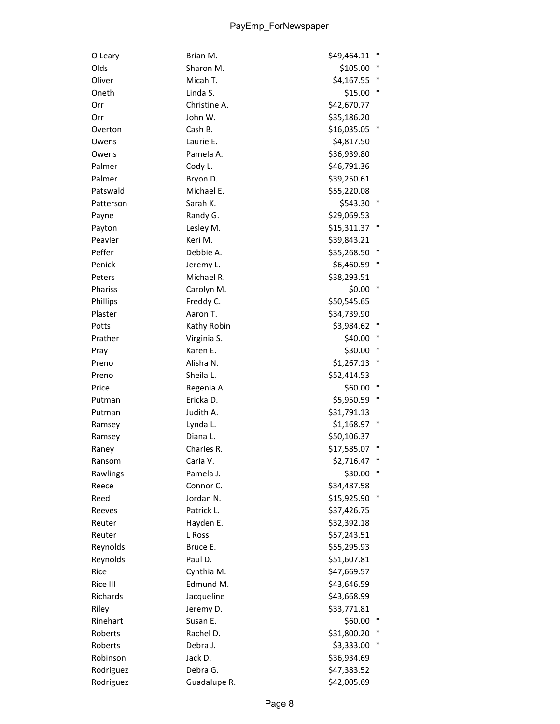| O Leary   | Brian M.     | \$49,464.11   | $\ast$ |
|-----------|--------------|---------------|--------|
| Olds      | Sharon M.    | \$105.00      | $\ast$ |
| Oliver    | Micah T.     | \$4,167.55    |        |
| Oneth     | Linda S.     | \$15.00       | $\ast$ |
| Orr       | Christine A. | \$42,670.77   |        |
| Orr       | John W.      | \$35,186.20   |        |
| Overton   | Cash B.      | \$16,035.05   |        |
| Owens     | Laurie E.    | \$4,817.50    |        |
| Owens     | Pamela A.    | \$36,939.80   |        |
| Palmer    | Cody L.      | \$46,791.36   |        |
| Palmer    | Bryon D.     | \$39,250.61   |        |
| Patswald  | Michael E.   | \$55,220.08   |        |
| Patterson | Sarah K.     | \$543.30      |        |
| Payne     | Randy G.     | \$29,069.53   |        |
| Payton    | Lesley M.    | \$15,311.37   | $\ast$ |
| Peavler   | Keri M.      | \$39,843.21   |        |
| Peffer    | Debbie A.    | \$35,268.50   | $\ast$ |
| Penick    | Jeremy L.    | \$6,460.59    | $\ast$ |
| Peters    | Michael R.   | \$38,293.51   |        |
| Phariss   | Carolyn M.   | \$0.00        | ∗      |
| Phillips  | Freddy C.    | \$50,545.65   |        |
| Plaster   | Aaron T.     | \$34,739.90   |        |
| Potts     | Kathy Robin  | \$3,984.62    | $\ast$ |
| Prather   | Virginia S.  | \$40.00       | ∗      |
| Pray      | Karen E.     | \$30.00       | ∗      |
| Preno     | Alisha N.    | \$1,267.13    | ∗      |
| Preno     | Sheila L.    | \$52,414.53   |        |
| Price     | Regenia A.   | \$60.00       | ∗      |
| Putman    | Ericka D.    | \$5,950.59    | ∗      |
| Putman    | Judith A.    | \$31,791.13   |        |
| Ramsey    | Lynda L.     | $$1,168.97$ * |        |
| Ramsey    | Diana L.     | \$50,106.37   |        |
| Raney     | Charles R.   | \$17,585.07   |        |
| Ransom    | Carla V.     | \$2,716.47    |        |
| Rawlings  | Pamela J.    | \$30.00       | $\ast$ |
| Reece     | Connor C.    | \$34,487.58   |        |
| Reed      | Jordan N.    | \$15,925.90   | ∗      |
| Reeves    | Patrick L.   | \$37,426.75   |        |
| Reuter    | Hayden E.    | \$32,392.18   |        |
| Reuter    | L Ross       | \$57,243.51   |        |
| Reynolds  | Bruce E.     | \$55,295.93   |        |
| Reynolds  | Paul D.      | \$51,607.81   |        |
| Rice      | Cynthia M.   | \$47,669.57   |        |
| Rice III  | Edmund M.    | \$43,646.59   |        |
| Richards  | Jacqueline   | \$43,668.99   |        |
| Riley     | Jeremy D.    | \$33,771.81   |        |
| Rinehart  | Susan E.     | \$60.00       | $\ast$ |
| Roberts   | Rachel D.    | \$31,800.20   |        |
| Roberts   | Debra J.     | \$3,333.00    |        |
| Robinson  | Jack D.      | \$36,934.69   |        |
| Rodriguez | Debra G.     | \$47,383.52   |        |
| Rodriguez | Guadalupe R. | \$42,005.69   |        |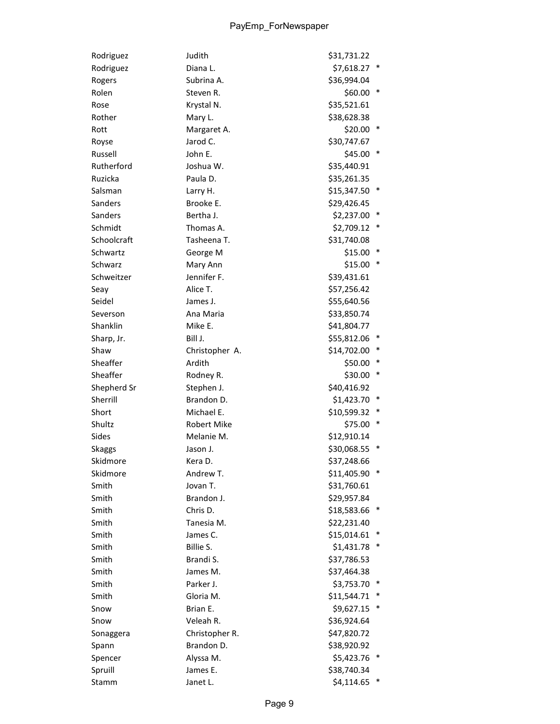| Rodriguez     | Judith         | \$31,731.22   |   |
|---------------|----------------|---------------|---|
| Rodriguez     | Diana L.       | \$7,618.27    | ∗ |
| Rogers        | Subrina A.     | \$36,994.04   |   |
| Rolen         | Steven R.      | \$60.00       | ∗ |
| Rose          | Krystal N.     | \$35,521.61   |   |
| Rother        | Mary L.        | \$38,628.38   |   |
| Rott          | Margaret A.    | \$20.00       |   |
| Royse         | Jarod C.       | \$30,747.67   |   |
| Russell       | John E.        | \$45.00       | ∗ |
| Rutherford    | Joshua W.      | \$35,440.91   |   |
| Ruzicka       | Paula D.       | \$35,261.35   |   |
| Salsman       | Larry H.       | \$15,347.50   |   |
| Sanders       | Brooke E.      | \$29,426.45   |   |
| Sanders       | Bertha J.      | \$2,237.00    |   |
| Schmidt       | Thomas A.      | \$2,709.12    | * |
| Schoolcraft   | Tasheena T.    | \$31,740.08   |   |
| Schwartz      | George M       | \$15.00       |   |
| Schwarz       | Mary Ann       | \$15.00       | ∗ |
| Schweitzer    | Jennifer F.    | \$39,431.61   |   |
| Seay          | Alice T.       | \$57,256.42   |   |
| Seidel        | James J.       | \$55,640.56   |   |
| Severson      | Ana Maria      | \$33,850.74   |   |
| Shanklin      | Mike E.        | \$41,804.77   |   |
| Sharp, Jr.    | Bill J.        | \$55,812.06   |   |
| Shaw          | Christopher A. | \$14,702.00   |   |
| Sheaffer      | Ardith         | \$50.00       |   |
| Sheaffer      | Rodney R.      | \$30.00       | ∗ |
| Shepherd Sr   | Stephen J.     | \$40,416.92   |   |
| Sherrill      | Brandon D.     | \$1,423.70    |   |
| Short         | Michael E.     | \$10,599.32   |   |
| Shultz        | Robert Mike    | \$75.00       | ∗ |
| Sides         | Melanie M.     | \$12,910.14   |   |
| <b>Skaggs</b> | Jason J.       | \$30,068.55   |   |
| Skidmore      | Kera D.        | \$37,248.66   |   |
| Skidmore      | Andrew T.      | \$11,405.90 * |   |
| Smith         | Jovan T.       | \$31,760.61   |   |
| Smith         | Brandon J.     | \$29,957.84   |   |
| Smith         | Chris D.       | \$18,583.66   |   |
| Smith         | Tanesia M.     | \$22,231.40   |   |
| Smith         | James C.       | \$15,014.61   | ∗ |
| Smith         | Billie S.      | \$1,431.78    |   |
| Smith         | Brandi S.      | \$37,786.53   |   |
| Smith         | James M.       | \$37,464.38   |   |
| Smith         | Parker J.      | \$3,753.70    |   |
| Smith         | Gloria M.      | \$11,544.71   |   |
| Snow          | Brian E.       | \$9,627.15    |   |
| Snow          | Veleah R.      | \$36,924.64   |   |
| Sonaggera     | Christopher R. | \$47,820.72   |   |
| Spann         | Brandon D.     | \$38,920.92   |   |
| Spencer       | Alyssa M.      | \$5,423.76    |   |
| Spruill       | James E.       | \$38,740.34   |   |
| Stamm         | Janet L.       | \$4,114.65    |   |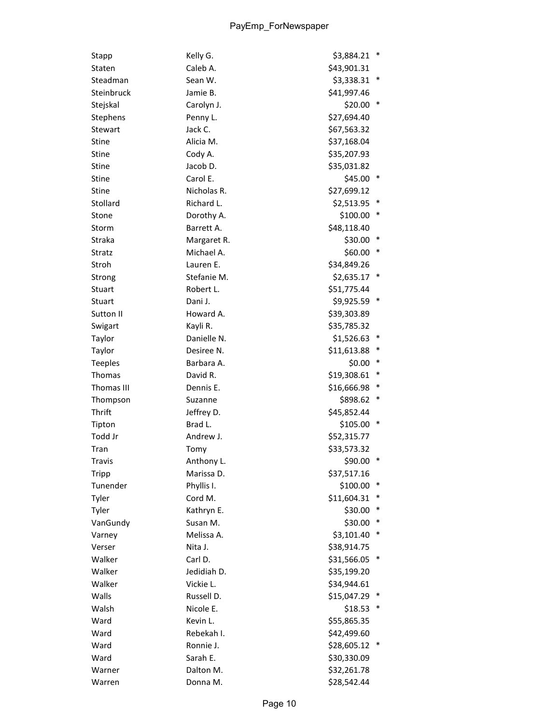| Stapp          | Kelly G.    | \$3,884.21  | ∗ |
|----------------|-------------|-------------|---|
| Staten         | Caleb A.    | \$43,901.31 |   |
| Steadman       | Sean W.     | \$3,338.31  |   |
| Steinbruck     | Jamie B.    | \$41,997.46 |   |
| Stejskal       | Carolyn J.  | \$20.00     |   |
| Stephens       | Penny L.    | \$27,694.40 |   |
| Stewart        | Jack C.     | \$67,563.32 |   |
| <b>Stine</b>   | Alicia M.   | \$37,168.04 |   |
| Stine          | Cody A.     | \$35,207.93 |   |
| <b>Stine</b>   | Jacob D.    | \$35,031.82 |   |
| <b>Stine</b>   | Carol E.    | \$45.00     |   |
| <b>Stine</b>   | Nicholas R. | \$27,699.12 |   |
| Stollard       | Richard L.  | \$2,513.95  |   |
| Stone          | Dorothy A.  | \$100.00    |   |
| Storm          | Barrett A.  | \$48,118.40 |   |
| Straka         | Margaret R. | \$30.00     |   |
| Stratz         | Michael A.  | \$60.00     |   |
| Stroh          | Lauren E.   | \$34,849.26 |   |
| Strong         | Stefanie M. | \$2,635.17  |   |
| Stuart         | Robert L.   | \$51,775.44 |   |
| Stuart         | Dani J.     | \$9,925.59  |   |
| Sutton II      | Howard A.   | \$39,303.89 |   |
| Swigart        | Kayli R.    | \$35,785.32 |   |
| Taylor         | Danielle N. | \$1,526.63  |   |
| Taylor         | Desiree N.  | \$11,613.88 |   |
| <b>Teeples</b> | Barbara A.  | \$0.00      |   |
| Thomas         | David R.    | \$19,308.61 |   |
| Thomas III     | Dennis E.   | \$16,666.98 |   |
| Thompson       | Suzanne     | \$898.62    |   |
| Thrift         | Jeffrey D.  | \$45,852.44 |   |
| Tipton         | Brad L.     | \$105.00    | ∗ |
| Todd Jr        | Andrew J.   | \$52,315.77 |   |
| Tran           | Tomy        | \$33,573.32 |   |
| <b>Travis</b>  | Anthony L.  | \$90.00 *   |   |
| Tripp          | Marissa D.  | \$37,517.16 |   |
| Tunender       | Phyllis I.  | \$100.00    |   |
| Tyler          | Cord M.     | \$11,604.31 |   |
| Tyler          | Kathryn E.  | \$30.00     |   |
| VanGundy       | Susan M.    | \$30.00     |   |
| Varney         | Melissa A.  | \$3,101.40  |   |
| Verser         | Nita J.     | \$38,914.75 |   |
| Walker         | Carl D.     | \$31,566.05 |   |
| Walker         | Jedidiah D. | \$35,199.20 |   |
| Walker         | Vickie L.   | \$34,944.61 |   |
| Walls          | Russell D.  | \$15,047.29 |   |
| Walsh          | Nicole E.   | \$18.53     |   |
| Ward           | Kevin L.    | \$55,865.35 |   |
| Ward           | Rebekah I.  | \$42,499.60 |   |
| Ward           | Ronnie J.   | \$28,605.12 |   |
| Ward           | Sarah E.    | \$30,330.09 |   |
| Warner         | Dalton M.   | \$32,261.78 |   |
| Warren         | Donna M.    | \$28,542.44 |   |